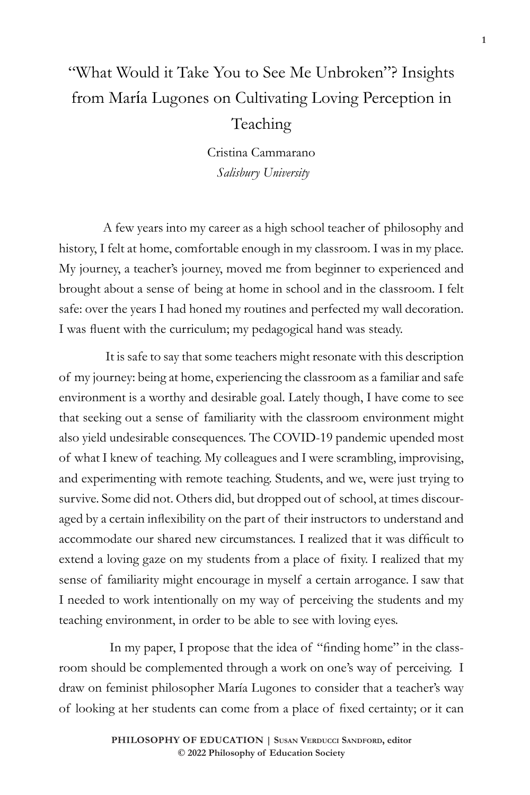# "What Would it Take You to See Me Unbroken"? Insights from María Lugones on Cultivating Loving Perception in Teaching

Cristina Cammarano *Salisbury University*

A few years into my career as a high school teacher of philosophy and history, I felt at home, comfortable enough in my classroom. I was in my place. My journey, a teacher's journey, moved me from beginner to experienced and brought about a sense of being at home in school and in the classroom. I felt safe: over the years I had honed my routines and perfected my wall decoration. I was fluent with the curriculum; my pedagogical hand was steady.

 It is safe to say that some teachers might resonate with this description of my journey: being at home, experiencing the classroom as a familiar and safe environment is a worthy and desirable goal. Lately though, I have come to see that seeking out a sense of familiarity with the classroom environment might also yield undesirable consequences. The COVID-19 pandemic upended most of what I knew of teaching. My colleagues and I were scrambling, improvising, and experimenting with remote teaching. Students, and we, were just trying to survive. Some did not. Others did, but dropped out of school, at times discouraged by a certain inflexibility on the part of their instructors to understand and accommodate our shared new circumstances. I realized that it was difficult to extend a loving gaze on my students from a place of fixity. I realized that my sense of familiarity might encourage in myself a certain arrogance. I saw that I needed to work intentionally on my way of perceiving the students and my teaching environment, in order to be able to see with loving eyes.

 In my paper, I propose that the idea of "finding home" in the classroom should be complemented through a work on one's way of perceiving. I draw on feminist philosopher María Lugones to consider that a teacher's way of looking at her students can come from a place of fixed certainty; or it can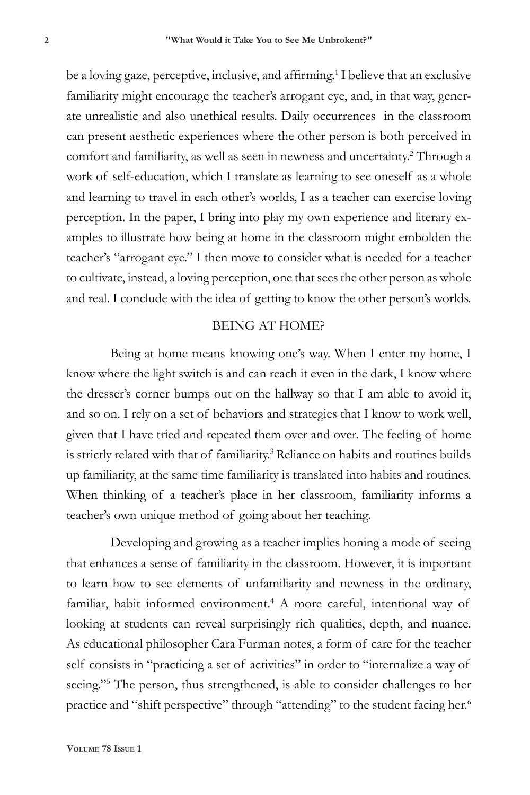be a loving gaze, perceptive, inclusive, and affirming.<sup>1</sup> I believe that an exclusive familiarity might encourage the teacher's arrogant eye, and, in that way, generate unrealistic and also unethical results. Daily occurrences in the classroom can present aesthetic experiences where the other person is both perceived in comfort and familiarity, as well as seen in newness and uncertainty.2 Through a work of self-education, which I translate as learning to see oneself as a whole and learning to travel in each other's worlds, I as a teacher can exercise loving perception. In the paper, I bring into play my own experience and literary examples to illustrate how being at home in the classroom might embolden the teacher's "arrogant eye." I then move to consider what is needed for a teacher to cultivate, instead, a loving perception, one that sees the other person as whole and real. I conclude with the idea of getting to know the other person's worlds.

### BEING AT HOME?

Being at home means knowing one's way. When I enter my home, I know where the light switch is and can reach it even in the dark, I know where the dresser's corner bumps out on the hallway so that I am able to avoid it, and so on. I rely on a set of behaviors and strategies that I know to work well, given that I have tried and repeated them over and over. The feeling of home is strictly related with that of familiarity.<sup>3</sup> Reliance on habits and routines builds up familiarity, at the same time familiarity is translated into habits and routines. When thinking of a teacher's place in her classroom, familiarity informs a teacher's own unique method of going about her teaching.

Developing and growing as a teacher implies honing a mode of seeing that enhances a sense of familiarity in the classroom. However, it is important to learn how to see elements of unfamiliarity and newness in the ordinary, familiar, habit informed environment.<sup>4</sup> A more careful, intentional way of looking at students can reveal surprisingly rich qualities, depth, and nuance. As educational philosopher Cara Furman notes, a form of care for the teacher self consists in "practicing a set of activities" in order to "internalize a way of seeing."<sup>5</sup> The person, thus strengthened, is able to consider challenges to her practice and "shift perspective" through "attending" to the student facing her.<sup>6</sup>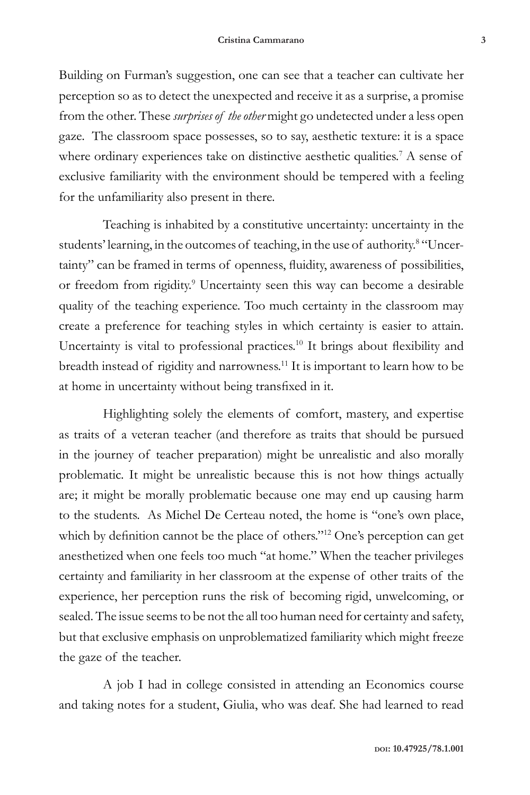Building on Furman's suggestion, one can see that a teacher can cultivate her perception so as to detect the unexpected and receive it as a surprise, a promise from the other. These *surprises of the other* might go undetected under a less open gaze. The classroom space possesses, so to say, aesthetic texture: it is a space where ordinary experiences take on distinctive aesthetic qualities.<sup>7</sup> A sense of exclusive familiarity with the environment should be tempered with a feeling for the unfamiliarity also present in there.

Teaching is inhabited by a constitutive uncertainty: uncertainty in the students' learning, in the outcomes of teaching, in the use of authority.<sup>8</sup> "Uncertainty" can be framed in terms of openness, fluidity, awareness of possibilities, or freedom from rigidity.<sup>9</sup> Uncertainty seen this way can become a desirable quality of the teaching experience. Too much certainty in the classroom may create a preference for teaching styles in which certainty is easier to attain. Uncertainty is vital to professional practices.<sup>10</sup> It brings about flexibility and breadth instead of rigidity and narrowness.11 It is important to learn how to be at home in uncertainty without being transfixed in it.

Highlighting solely the elements of comfort, mastery, and expertise as traits of a veteran teacher (and therefore as traits that should be pursued in the journey of teacher preparation) might be unrealistic and also morally problematic. It might be unrealistic because this is not how things actually are; it might be morally problematic because one may end up causing harm to the students. As Michel De Certeau noted, the home is "one's own place, which by definition cannot be the place of others."<sup>12</sup> One's perception can get anesthetized when one feels too much "at home." When the teacher privileges certainty and familiarity in her classroom at the expense of other traits of the experience, her perception runs the risk of becoming rigid, unwelcoming, or sealed. The issue seems to be not the all too human need for certainty and safety, but that exclusive emphasis on unproblematized familiarity which might freeze the gaze of the teacher.

A job I had in college consisted in attending an Economics course and taking notes for a student, Giulia, who was deaf. She had learned to read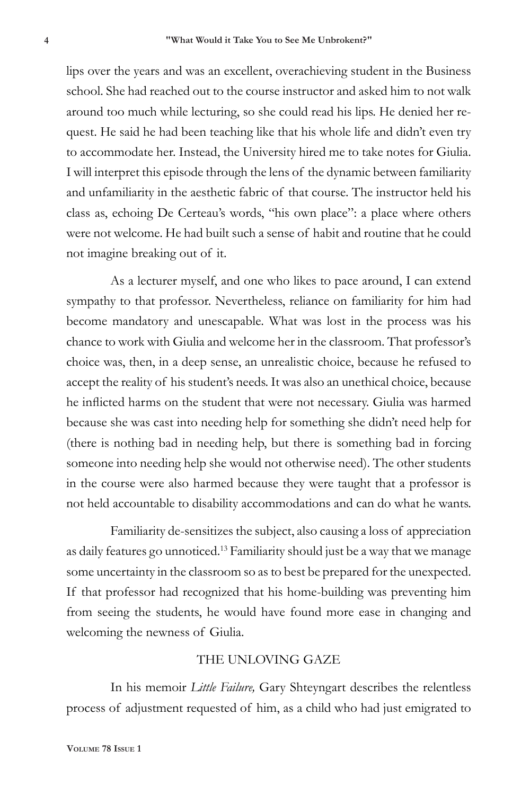lips over the years and was an excellent, overachieving student in the Business school. She had reached out to the course instructor and asked him to not walk around too much while lecturing, so she could read his lips. He denied her request. He said he had been teaching like that his whole life and didn't even try to accommodate her. Instead, the University hired me to take notes for Giulia. I will interpret this episode through the lens of the dynamic between familiarity and unfamiliarity in the aesthetic fabric of that course. The instructor held his class as, echoing De Certeau's words, "his own place": a place where others were not welcome. He had built such a sense of habit and routine that he could not imagine breaking out of it.

As a lecturer myself, and one who likes to pace around, I can extend sympathy to that professor. Nevertheless, reliance on familiarity for him had become mandatory and unescapable. What was lost in the process was his chance to work with Giulia and welcome her in the classroom. That professor's choice was, then, in a deep sense, an unrealistic choice, because he refused to accept the reality of his student's needs. It was also an unethical choice, because he inflicted harms on the student that were not necessary. Giulia was harmed because she was cast into needing help for something she didn't need help for (there is nothing bad in needing help, but there is something bad in forcing someone into needing help she would not otherwise need). The other students in the course were also harmed because they were taught that a professor is not held accountable to disability accommodations and can do what he wants.

Familiarity de-sensitizes the subject, also causing a loss of appreciation as daily features go unnoticed.13 Familiarity should just be a way that we manage some uncertainty in the classroom so as to best be prepared for the unexpected. If that professor had recognized that his home-building was preventing him from seeing the students, he would have found more ease in changing and welcoming the newness of Giulia.

#### THE UNLOVING GAZE

In his memoir *Little Failure,* Gary Shteyngart describes the relentless process of adjustment requested of him, as a child who had just emigrated to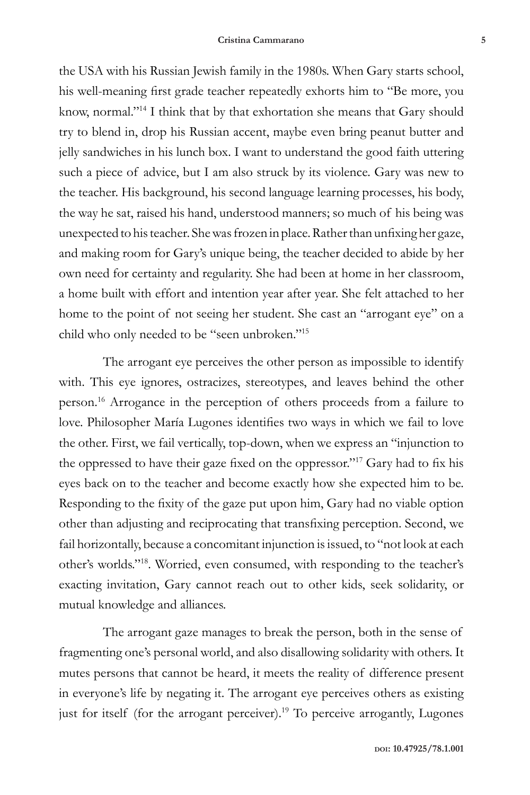the USA with his Russian Jewish family in the 1980s. When Gary starts school, his well-meaning first grade teacher repeatedly exhorts him to "Be more, you know, normal."14 I think that by that exhortation she means that Gary should try to blend in, drop his Russian accent, maybe even bring peanut butter and jelly sandwiches in his lunch box. I want to understand the good faith uttering such a piece of advice, but I am also struck by its violence. Gary was new to the teacher. His background, his second language learning processes, his body, the way he sat, raised his hand, understood manners; so much of his being was unexpected to his teacher. She was frozen in place. Rather than unfixing her gaze, and making room for Gary's unique being, the teacher decided to abide by her own need for certainty and regularity. She had been at home in her classroom, a home built with effort and intention year after year. She felt attached to her home to the point of not seeing her student. She cast an "arrogant eye" on a child who only needed to be "seen unbroken."15

The arrogant eye perceives the other person as impossible to identify with. This eye ignores, ostracizes, stereotypes, and leaves behind the other person.16 Arrogance in the perception of others proceeds from a failure to love. Philosopher María Lugones identifies two ways in which we fail to love the other. First, we fail vertically, top-down, when we express an "injunction to the oppressed to have their gaze fixed on the oppressor."<sup>17</sup> Gary had to fix his eyes back on to the teacher and become exactly how she expected him to be. Responding to the fixity of the gaze put upon him, Gary had no viable option other than adjusting and reciprocating that transfixing perception. Second, we fail horizontally, because a concomitant injunction is issued, to "not look at each other's worlds."18. Worried, even consumed, with responding to the teacher's exacting invitation, Gary cannot reach out to other kids, seek solidarity, or mutual knowledge and alliances.

The arrogant gaze manages to break the person, both in the sense of fragmenting one's personal world, and also disallowing solidarity with others. It mutes persons that cannot be heard, it meets the reality of difference present in everyone's life by negating it. The arrogant eye perceives others as existing just for itself (for the arrogant perceiver).<sup>19</sup> To perceive arrogantly, Lugones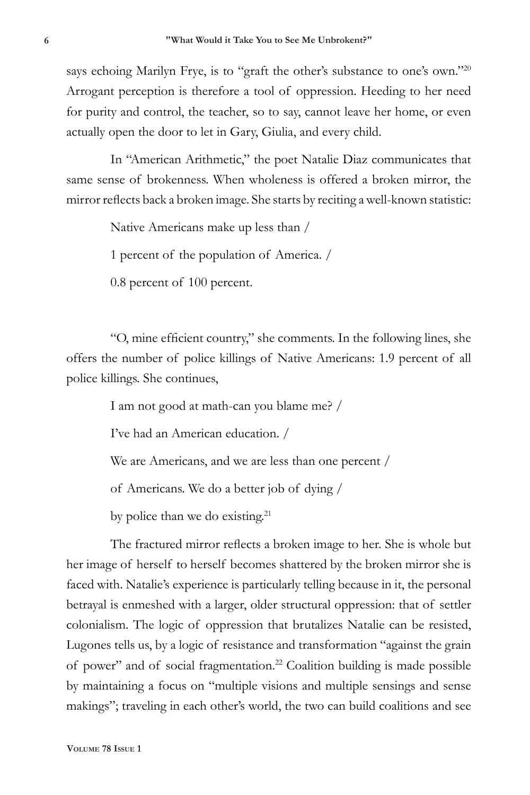says echoing Marilyn Frye, is to "graft the other's substance to one's own."20 Arrogant perception is therefore a tool of oppression. Heeding to her need for purity and control, the teacher, so to say, cannot leave her home, or even actually open the door to let in Gary, Giulia, and every child.

In "American Arithmetic," the poet Natalie Diaz communicates that same sense of brokenness. When wholeness is offered a broken mirror, the mirror reflects back a broken image. She starts by reciting a well-known statistic:

Native Americans make up less than /

1 percent of the population of America. /

0.8 percent of 100 percent.

"O, mine efficient country," she comments. In the following lines, she offers the number of police killings of Native Americans: 1.9 percent of all police killings. She continues,

I am not good at math-can you blame me? /

I've had an American education. /

We are Americans, and we are less than one percent /

of Americans. We do a better job of dying /

by police than we do existing.<sup>21</sup>

The fractured mirror reflects a broken image to her. She is whole but her image of herself to herself becomes shattered by the broken mirror she is faced with. Natalie's experience is particularly telling because in it, the personal betrayal is enmeshed with a larger, older structural oppression: that of settler colonialism. The logic of oppression that brutalizes Natalie can be resisted, Lugones tells us, by a logic of resistance and transformation "against the grain of power" and of social fragmentation.22 Coalition building is made possible by maintaining a focus on "multiple visions and multiple sensings and sense makings"; traveling in each other's world, the two can build coalitions and see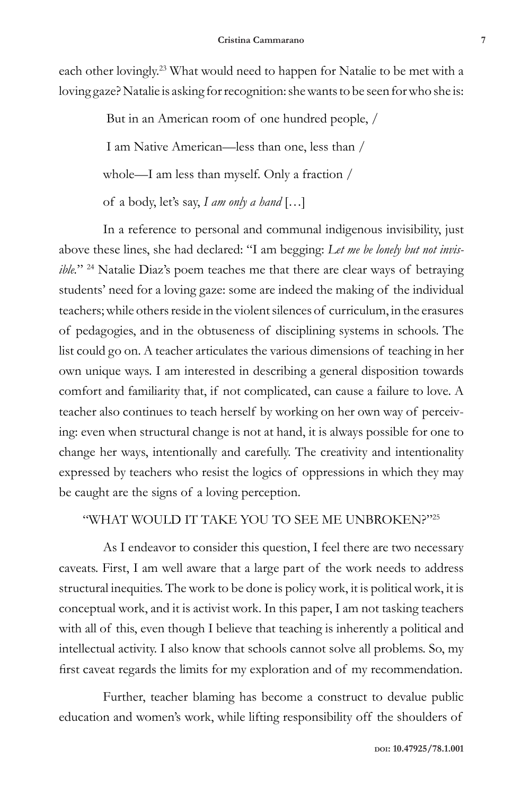each other lovingly.<sup>23</sup> What would need to happen for Natalie to be met with a loving gaze? Natalie is asking for recognition: she wants to be seen for who she is:

> But in an American room of one hundred people, / I am Native American—less than one, less than / whole—I am less than myself. Only a fraction / of a body, let's say, *I am only a hand* […]

In a reference to personal and communal indigenous invisibility, just above these lines, she had declared: "I am begging: *Let me be lonely but not invisible.*" <sup>24</sup> Natalie Diaz's poem teaches me that there are clear ways of betraying students' need for a loving gaze: some are indeed the making of the individual teachers; while others reside in the violent silences of curriculum, in the erasures of pedagogies, and in the obtuseness of disciplining systems in schools. The list could go on. A teacher articulates the various dimensions of teaching in her own unique ways. I am interested in describing a general disposition towards comfort and familiarity that, if not complicated, can cause a failure to love. A teacher also continues to teach herself by working on her own way of perceiving: even when structural change is not at hand, it is always possible for one to change her ways, intentionally and carefully. The creativity and intentionality expressed by teachers who resist the logics of oppressions in which they may be caught are the signs of a loving perception.

#### "WHAT WOULD IT TAKE YOU TO SEE ME UNBROKEN?"25

As I endeavor to consider this question, I feel there are two necessary caveats. First, I am well aware that a large part of the work needs to address structural inequities. The work to be done is policy work, it is political work, it is conceptual work, and it is activist work. In this paper, I am not tasking teachers with all of this, even though I believe that teaching is inherently a political and intellectual activity. I also know that schools cannot solve all problems. So, my first caveat regards the limits for my exploration and of my recommendation.

Further, teacher blaming has become a construct to devalue public education and women's work, while lifting responsibility off the shoulders of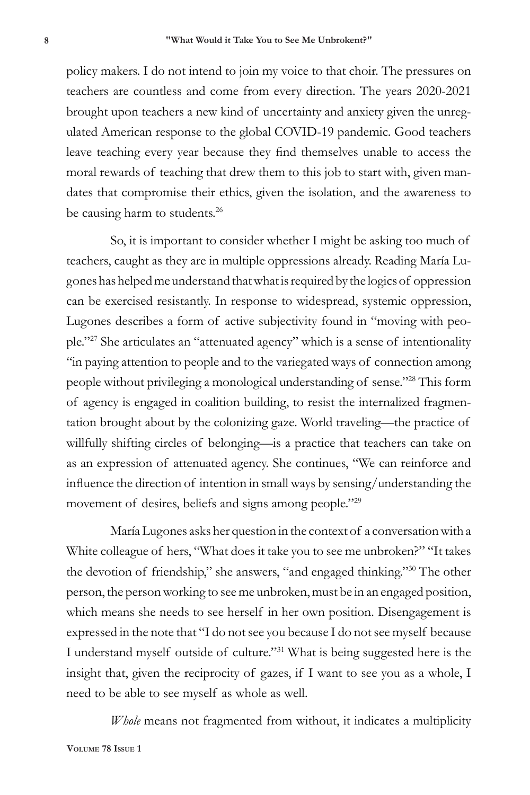policy makers. I do not intend to join my voice to that choir. The pressures on teachers are countless and come from every direction. The years 2020-2021 brought upon teachers a new kind of uncertainty and anxiety given the unregulated American response to the global COVID-19 pandemic. Good teachers leave teaching every year because they find themselves unable to access the moral rewards of teaching that drew them to this job to start with, given mandates that compromise their ethics, given the isolation, and the awareness to be causing harm to students.<sup>26</sup>

So, it is important to consider whether I might be asking too much of teachers, caught as they are in multiple oppressions already. Reading María Lugones has helped me understand that what is required by the logics of oppression can be exercised resistantly. In response to widespread, systemic oppression, Lugones describes a form of active subjectivity found in "moving with people."27 She articulates an "attenuated agency" which is a sense of intentionality "in paying attention to people and to the variegated ways of connection among people without privileging a monological understanding of sense."28 This form of agency is engaged in coalition building, to resist the internalized fragmentation brought about by the colonizing gaze. World traveling—the practice of willfully shifting circles of belonging—is a practice that teachers can take on as an expression of attenuated agency. She continues, "We can reinforce and influence the direction of intention in small ways by sensing/understanding the movement of desires, beliefs and signs among people."29

María Lugones asks her question in the context of a conversation with a White colleague of hers, "What does it take you to see me unbroken?" "It takes the devotion of friendship," she answers, "and engaged thinking."30 The other person, the person working to see me unbroken, must be in an engaged position, which means she needs to see herself in her own position. Disengagement is expressed in the note that "I do not see you because I do not see myself because I understand myself outside of culture."31 What is being suggested here is the insight that, given the reciprocity of gazes, if I want to see you as a whole, I need to be able to see myself as whole as well.

*Whole* means not fragmented from without, it indicates a multiplicity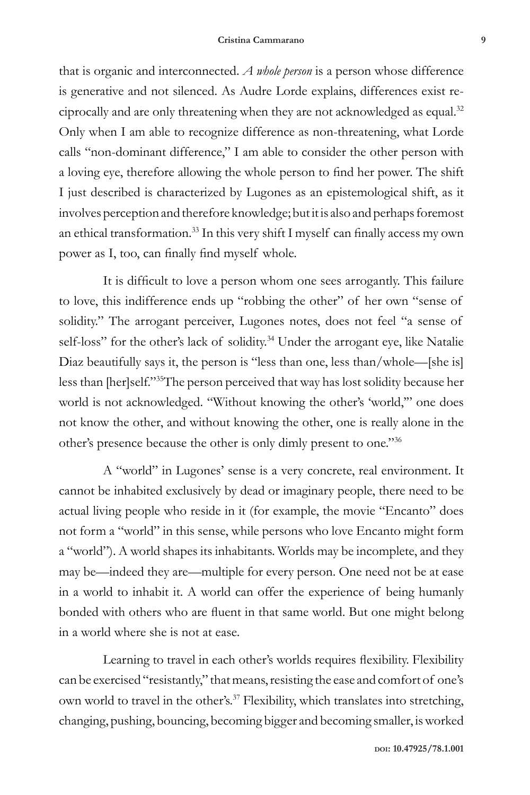that is organic and interconnected. *A whole person* is a person whose difference is generative and not silenced. As Audre Lorde explains, differences exist reciprocally and are only threatening when they are not acknowledged as equal.<sup>32</sup> Only when I am able to recognize difference as non-threatening, what Lorde calls "non-dominant difference," I am able to consider the other person with a loving eye, therefore allowing the whole person to find her power. The shift I just described is characterized by Lugones as an epistemological shift, as it involves perception and therefore knowledge; but it is also and perhaps foremost an ethical transformation.33 In this very shift I myself can finally access my own power as I, too, can finally find myself whole.

It is difficult to love a person whom one sees arrogantly. This failure to love, this indifference ends up "robbing the other" of her own "sense of solidity." The arrogant perceiver, Lugones notes, does not feel "a sense of self-loss" for the other's lack of solidity.<sup>34</sup> Under the arrogant eye, like Natalie Diaz beautifully says it, the person is "less than one, less than/whole—[she is] less than [her]self."35The person perceived that way has lost solidity because her world is not acknowledged. "Without knowing the other's 'world,'" one does not know the other, and without knowing the other, one is really alone in the other's presence because the other is only dimly present to one."36

A "world" in Lugones' sense is a very concrete, real environment. It cannot be inhabited exclusively by dead or imaginary people, there need to be actual living people who reside in it (for example, the movie "Encanto" does not form a "world" in this sense, while persons who love Encanto might form a "world"). A world shapes its inhabitants. Worlds may be incomplete, and they may be—indeed they are—multiple for every person. One need not be at ease in a world to inhabit it. A world can offer the experience of being humanly bonded with others who are fluent in that same world. But one might belong in a world where she is not at ease.

Learning to travel in each other's worlds requires flexibility. Flexibility can be exercised "resistantly," that means, resisting the ease and comfort of one's own world to travel in the other's.<sup>37</sup> Flexibility, which translates into stretching, changing, pushing, bouncing, becoming bigger and becoming smaller, is worked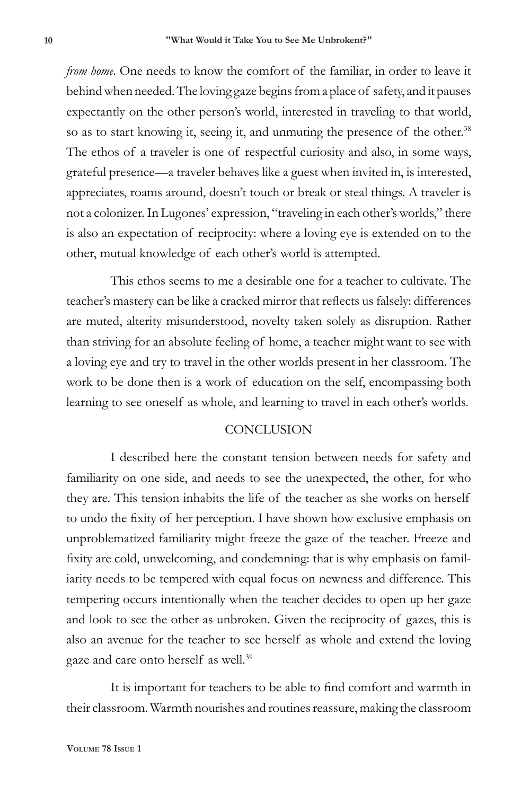*from home*. One needs to know the comfort of the familiar, in order to leave it behind when needed. The loving gaze begins from a place of safety, and it pauses expectantly on the other person's world, interested in traveling to that world, so as to start knowing it, seeing it, and unmuting the presence of the other.<sup>38</sup> The ethos of a traveler is one of respectful curiosity and also, in some ways, grateful presence—a traveler behaves like a guest when invited in, is interested, appreciates, roams around, doesn't touch or break or steal things. A traveler is not a colonizer. In Lugones' expression, "traveling in each other's worlds," there is also an expectation of reciprocity: where a loving eye is extended on to the other, mutual knowledge of each other's world is attempted.

This ethos seems to me a desirable one for a teacher to cultivate. The teacher's mastery can be like a cracked mirror that reflects us falsely: differences are muted, alterity misunderstood, novelty taken solely as disruption. Rather than striving for an absolute feeling of home, a teacher might want to see with a loving eye and try to travel in the other worlds present in her classroom. The work to be done then is a work of education on the self, encompassing both learning to see oneself as whole, and learning to travel in each other's worlds.

#### **CONCLUSION**

I described here the constant tension between needs for safety and familiarity on one side, and needs to see the unexpected, the other, for who they are. This tension inhabits the life of the teacher as she works on herself to undo the fixity of her perception. I have shown how exclusive emphasis on unproblematized familiarity might freeze the gaze of the teacher. Freeze and fixity are cold, unwelcoming, and condemning: that is why emphasis on familiarity needs to be tempered with equal focus on newness and difference. This tempering occurs intentionally when the teacher decides to open up her gaze and look to see the other as unbroken. Given the reciprocity of gazes, this is also an avenue for the teacher to see herself as whole and extend the loving gaze and care onto herself as well.<sup>39</sup>

It is important for teachers to be able to find comfort and warmth in their classroom. Warmth nourishes and routines reassure, making the classroom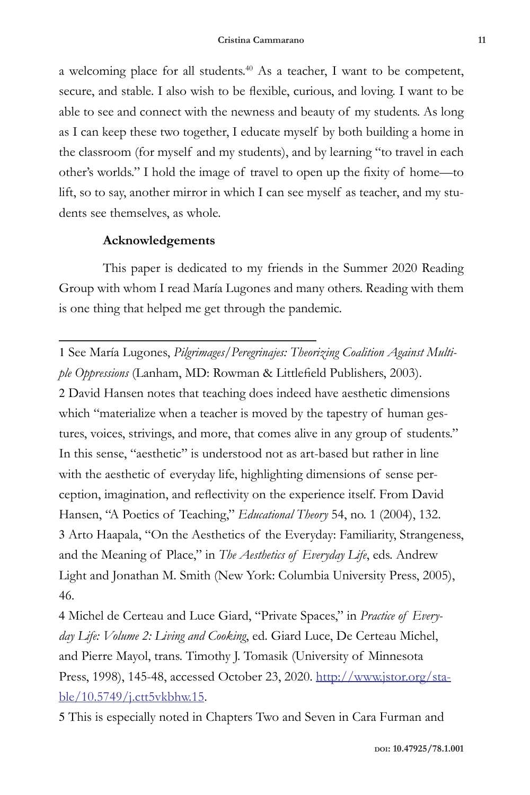a welcoming place for all students.40 As a teacher, I want to be competent, secure, and stable. I also wish to be flexible, curious, and loving. I want to be able to see and connect with the newness and beauty of my students. As long as I can keep these two together, I educate myself by both building a home in the classroom (for myself and my students), and by learning "to travel in each other's worlds." I hold the image of travel to open up the fixity of home—to lift, so to say, another mirror in which I can see myself as teacher, and my students see themselves, as whole.

## **Acknowledgements**

This paper is dedicated to my friends in the Summer 2020 Reading Group with whom I read María Lugones and many others. Reading with them is one thing that helped me get through the pandemic.

1 See María Lugones, *Pilgrimages/Peregrinajes: Theorizing Coalition Against Multiple Oppressions* (Lanham, MD: Rowman & Littlefield Publishers, 2003). 2 David Hansen notes that teaching does indeed have aesthetic dimensions which "materialize when a teacher is moved by the tapestry of human gestures, voices, strivings, and more, that comes alive in any group of students." In this sense, "aesthetic" is understood not as art-based but rather in line with the aesthetic of everyday life, highlighting dimensions of sense perception, imagination, and reflectivity on the experience itself. From David Hansen, "A Poetics of Teaching," *Educational Theory* 54, no. 1 (2004), 132. 3 Arto Haapala, "On the Aesthetics of the Everyday: Familiarity, Strangeness, and the Meaning of Place," in *The Aesthetics of Everyday Life*, eds. Andrew Light and Jonathan M. Smith (New York: Columbia University Press, 2005), 46.

4 Michel de Certeau and Luce Giard, "Private Spaces," in *Practice of Everyday Life: Volume 2: Living and Cooking*, ed. Giard Luce, De Certeau Michel, and Pierre Mayol, trans. Timothy J. Tomasik (University of Minnesota Press, 1998), 145-48, accessed October 23, 2020. http://www.jstor.org/stable/10.5749/j.ctt5vkbhw.15.

5 This is especially noted in Chapters Two and Seven in Cara Furman and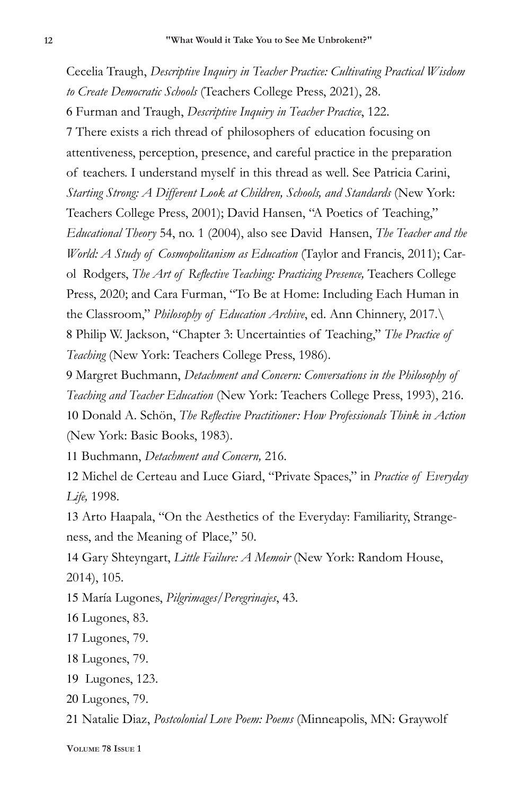Cecelia Traugh, *Descriptive Inquiry in Teacher Practice: Cultivating Practical Wisdom to Create Democratic Schools* (Teachers College Press, 2021), 28. 6 Furman and Traugh, *Descriptive Inquiry in Teacher Practice*, 122. 7 There exists a rich thread of philosophers of education focusing on attentiveness, perception, presence, and careful practice in the preparation of teachers. I understand myself in this thread as well. See Patricia Carini, *Starting Strong: A Different Look at Children, Schools, and Standards* (New York: Teachers College Press, 2001); David Hansen, "A Poetics of Teaching," *Educational Theory* 54, no. 1 (2004), also see David Hansen, *The Teacher and the World: A Study of Cosmopolitanism as Education* (Taylor and Francis, 2011); CarolRodgers, *The Art of Reflective Teaching: Practicing Presence,* Teachers College Press, 2020; and Cara Furman, "To Be at Home: Including Each Human in the Classroom," *Philosophy of Education Archive*, ed. Ann Chinnery, 2017.\ 8 Philip W. Jackson, "Chapter 3: Uncertainties of Teaching," *The Practice of Teaching* (New York: Teachers College Press, 1986).

9 Margret Buchmann, *Detachment and Concern: Conversations in the Philosophy of Teaching and Teacher Education* (New York: Teachers College Press, 1993), 216. 10 Donald A. Schön, *The Reflective Practitioner: How Professionals Think in Action* (New York: Basic Books, 1983).

11 Buchmann, *Detachment and Concern,* 216.

12 Michel de Certeau and Luce Giard, "Private Spaces," in *Practice of Everyday Life,* 1998.

13 Arto Haapala, "On the Aesthetics of the Everyday: Familiarity, Strangeness, and the Meaning of Place," 50.

14 Gary Shteyngart, *Little Failure: A Memoir* (New York: Random House, 2014), 105.

15 María Lugones, *Pilgrimages/Peregrinajes*, 43.

16 Lugones, 83.

17 Lugones, 79.

18 Lugones, 79.

19 Lugones, 123.

20 Lugones, 79.

21 Natalie Diaz, *Postcolonial Love Poem: Poems* (Minneapolis, MN: Graywolf